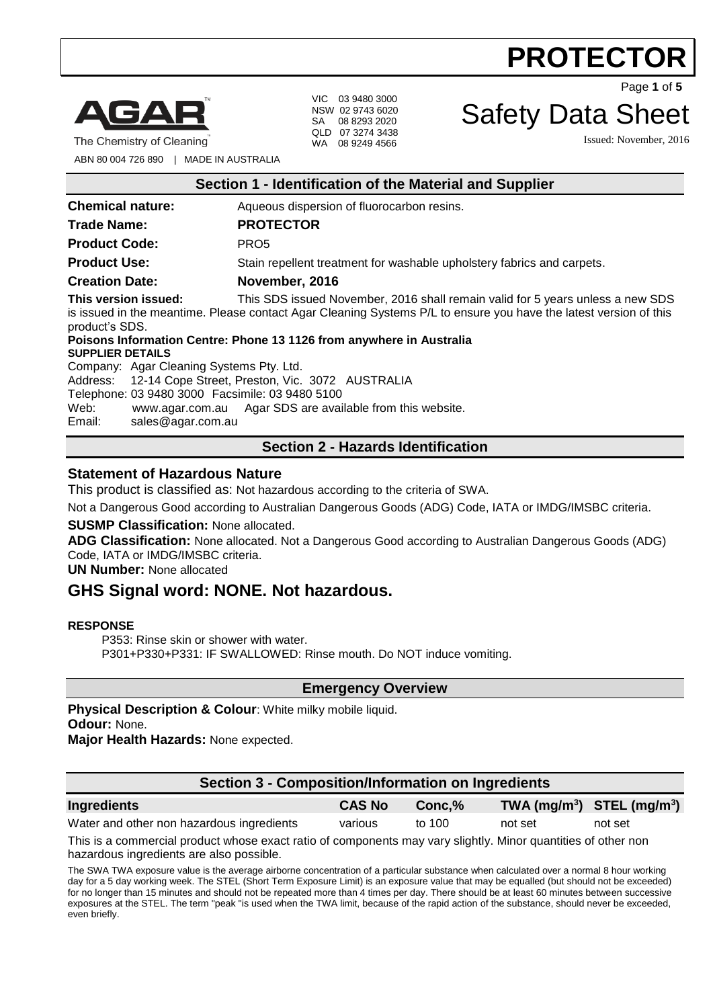

The Chemistry of Cleaning

VIC 03 9480 3000 NSW 02 9743 6020 SA 08 8293 2020 QLD 07 3274 3438 WA 08 9249 4566

Safety Data Sheet

Issued: November, 2016

Page **1** of **5**

ABN 80 004 726 890 | MADE IN AUSTRALIA

|                         | Section 1 - Identification of the Material and Supplier |  |
|-------------------------|---------------------------------------------------------|--|
| <b>Chemical nature:</b> | Aqueous dispersion of fluorocarbon resins.              |  |
| <b>Trade Name:</b>      | <b>PROTECTOR</b>                                        |  |
| <b>Product Code:</b>    | PRO <sub>5</sub>                                        |  |

**Product Use:** Stain repellent treatment for washable upholstery fabrics and carpets.

**Creation Date: November, 2016**

**This version issued:** This SDS issued November, 2016 shall remain valid for 5 years unless a new SDS is issued in the meantime. Please contact Agar Cleaning Systems P/L to ensure you have the latest version of this product's SDS.

#### **Poisons Information Centre: Phone 13 1126 from anywhere in Australia SUPPLIER DETAILS**

Company: Agar Cleaning Systems Pty. Ltd. Address: 12-14 Cope Street, Preston, Vic. 3072 AUSTRALIA Telephone: 03 9480 3000 Facsimile: 03 9480 5100 Web: [www.agar.com.au](http://www.agar.com.au/) Agar SDS are available from this website. Email: sales@agar.com.au

### **Section 2 - Hazards Identification**

#### **Statement of Hazardous Nature**

This product is classified as: Not hazardous according to the criteria of SWA.

Not a Dangerous Good according to Australian Dangerous Goods (ADG) Code, IATA or IMDG/IMSBC criteria.

#### **SUSMP Classification:** None allocated.

**ADG Classification:** None allocated. Not a Dangerous Good according to Australian Dangerous Goods (ADG) Code, IATA or IMDG/IMSBC criteria.

**UN Number:** None allocated

### **GHS Signal word: NONE. Not hazardous.**

#### **RESPONSE**

P353: Rinse skin or shower with water. P301+P330+P331: IF SWALLOWED: Rinse mouth. Do NOT induce vomiting.

**Emergency Overview**

**Physical Description & Colour:** White milky mobile liquid. **Odour:** None.

**Major Health Hazards:** None expected.

| Section 3 - Composition/Information on Ingredients |               |           |         |                                |
|----------------------------------------------------|---------------|-----------|---------|--------------------------------|
| <b>Ingredients</b>                                 | <b>CAS No</b> | $Conc.\%$ |         | TWA $(mg/m^3)$ STEL $(mg/m^3)$ |
| Water and other non hazardous ingredients          | various       | to 100    | not set | not set                        |

This is a commercial product whose exact ratio of components may vary slightly. Minor quantities of other non hazardous ingredients are also possible.

The SWA TWA exposure value is the average airborne concentration of a particular substance when calculated over a normal 8 hour working day for a 5 day working week. The STEL (Short Term Exposure Limit) is an exposure value that may be equalled (but should not be exceeded) for no longer than 15 minutes and should not be repeated more than 4 times per day. There should be at least 60 minutes between successive exposures at the STEL. The term "peak "is used when the TWA limit, because of the rapid action of the substance, should never be exceeded, even briefly.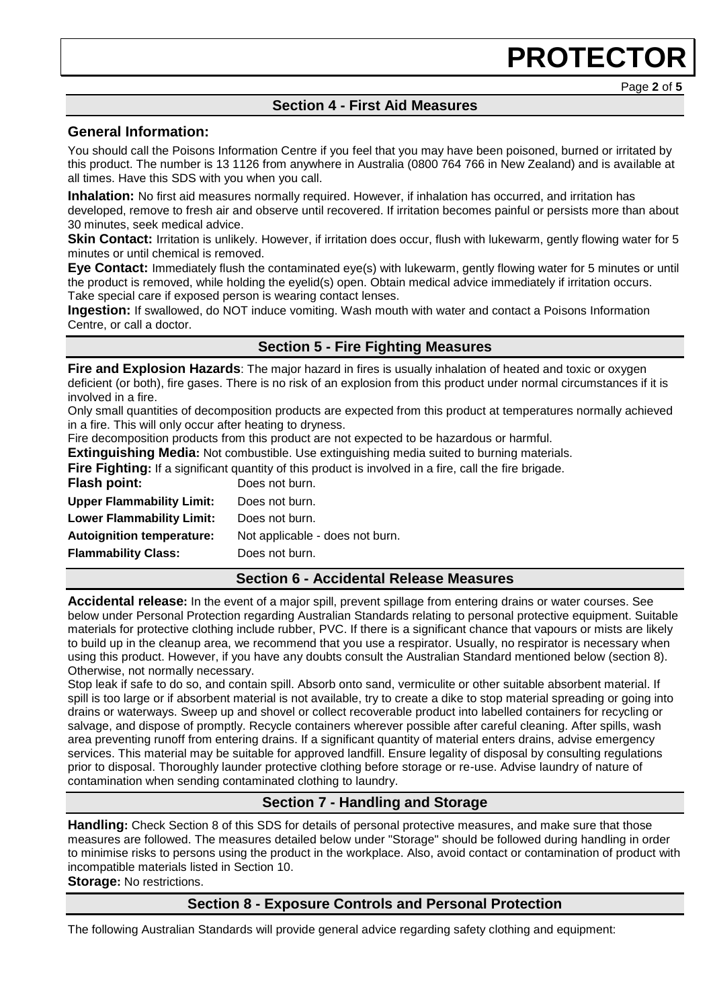Page **2** of **5**

### **Section 4 - First Aid Measures**

#### **General Information:**

You should call the Poisons Information Centre if you feel that you may have been poisoned, burned or irritated by this product. The number is 13 1126 from anywhere in Australia (0800 764 766 in New Zealand) and is available at all times. Have this SDS with you when you call.

**Inhalation:** No first aid measures normally required. However, if inhalation has occurred, and irritation has developed, remove to fresh air and observe until recovered. If irritation becomes painful or persists more than about 30 minutes, seek medical advice.

**Skin Contact:** Irritation is unlikely. However, if irritation does occur, flush with lukewarm, gently flowing water for 5 minutes or until chemical is removed.

**Eye Contact:** Immediately flush the contaminated eye(s) with lukewarm, gently flowing water for 5 minutes or until the product is removed, while holding the eyelid(s) open. Obtain medical advice immediately if irritation occurs. Take special care if exposed person is wearing contact lenses.

**Ingestion:** If swallowed, do NOT induce vomiting. Wash mouth with water and contact a Poisons Information Centre, or call a doctor.

#### **Section 5 - Fire Fighting Measures**

**Fire and Explosion Hazards**: The major hazard in fires is usually inhalation of heated and toxic or oxygen deficient (or both), fire gases. There is no risk of an explosion from this product under normal circumstances if it is involved in a fire.

Only small quantities of decomposition products are expected from this product at temperatures normally achieved in a fire. This will only occur after heating to dryness.

Fire decomposition products from this product are not expected to be hazardous or harmful.

**Extinguishing Media:** Not combustible. Use extinguishing media suited to burning materials.

**Fire Fighting:** If a significant quantity of this product is involved in a fire, call the fire brigade.<br>**Flash noint:** Does not burn **Flash point:** Does not burn.

| I IASII PUIIIL.                  | DUGS HUL DUITE                  |
|----------------------------------|---------------------------------|
| <b>Upper Flammability Limit:</b> | Does not burn.                  |
| <b>Lower Flammability Limit:</b> | Does not burn.                  |
| <b>Autoignition temperature:</b> | Not applicable - does not burn. |
| <b>Flammability Class:</b>       | Does not burn.                  |
|                                  |                                 |

#### **Section 6 - Accidental Release Measures**

**Accidental release:** In the event of a major spill, prevent spillage from entering drains or water courses. See below under Personal Protection regarding Australian Standards relating to personal protective equipment. Suitable materials for protective clothing include rubber, PVC. If there is a significant chance that vapours or mists are likely to build up in the cleanup area, we recommend that you use a respirator. Usually, no respirator is necessary when using this product. However, if you have any doubts consult the Australian Standard mentioned below (section 8). Otherwise, not normally necessary.

Stop leak if safe to do so, and contain spill. Absorb onto sand, vermiculite or other suitable absorbent material. If spill is too large or if absorbent material is not available, try to create a dike to stop material spreading or going into drains or waterways. Sweep up and shovel or collect recoverable product into labelled containers for recycling or salvage, and dispose of promptly. Recycle containers wherever possible after careful cleaning. After spills, wash area preventing runoff from entering drains. If a significant quantity of material enters drains, advise emergency services. This material may be suitable for approved landfill. Ensure legality of disposal by consulting regulations prior to disposal. Thoroughly launder protective clothing before storage or re-use. Advise laundry of nature of contamination when sending contaminated clothing to laundry.

### **Section 7 - Handling and Storage**

**Handling:** Check Section 8 of this SDS for details of personal protective measures, and make sure that those measures are followed. The measures detailed below under "Storage" should be followed during handling in order to minimise risks to persons using the product in the workplace. Also, avoid contact or contamination of product with incompatible materials listed in Section 10.

**Storage:** No restrictions.

#### **Section 8 - Exposure Controls and Personal Protection**

The following Australian Standards will provide general advice regarding safety clothing and equipment: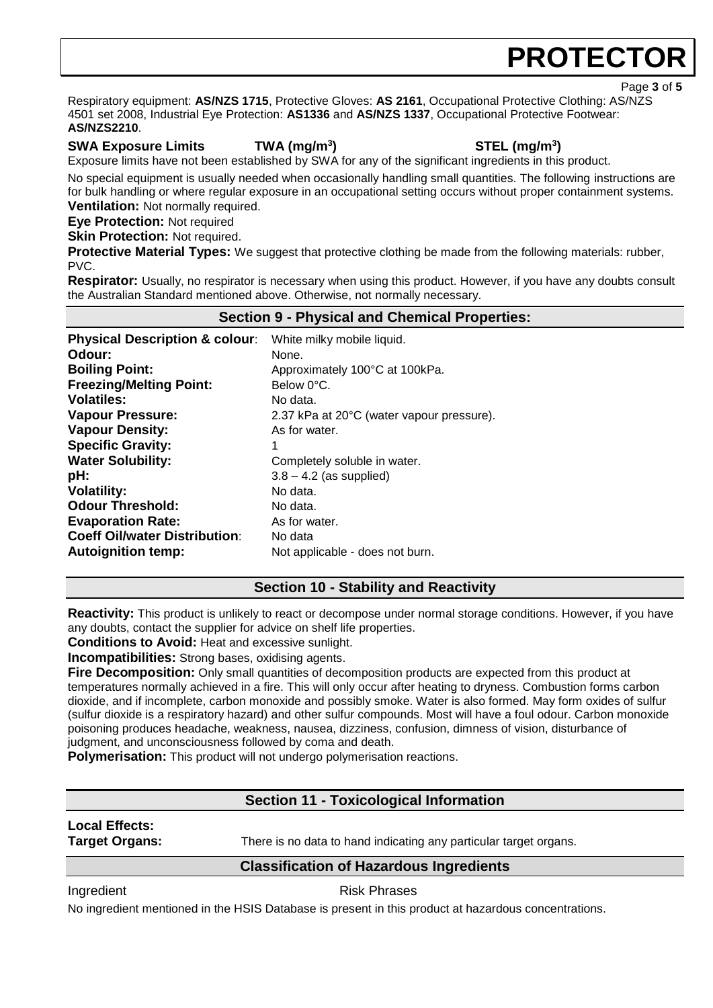Page **3** of **5**

Respiratory equipment: **AS/NZS 1715**, Protective Gloves: **AS 2161**, Occupational Protective Clothing: AS/NZS 4501 set 2008, Industrial Eye Protection: **AS1336** and **AS/NZS 1337**, Occupational Protective Footwear: **AS/NZS2210**.

#### **SWA Exposure Limits TWA (mg/m<sup>3</sup>**

**) STEL (mg/m<sup>3</sup> )**

Exposure limits have not been established by SWA for any of the significant ingredients in this product.

No special equipment is usually needed when occasionally handling small quantities. The following instructions are for bulk handling or where regular exposure in an occupational setting occurs without proper containment systems. **Ventilation:** Not normally required.

**Eye Protection:** Not required

**Skin Protection: Not required.** 

**Protective Material Types:** We suggest that protective clothing be made from the following materials: rubber, PVC.

**Respirator:** Usually, no respirator is necessary when using this product. However, if you have any doubts consult the Australian Standard mentioned above. Otherwise, not normally necessary.

### **Section 9 - Physical and Chemical Properties:**

| <b>Physical Description &amp; colour:</b> | White milky mobile liquid.                |
|-------------------------------------------|-------------------------------------------|
| Odour:                                    | None.                                     |
| <b>Boiling Point:</b>                     | Approximately 100°C at 100kPa.            |
| <b>Freezing/Melting Point:</b>            | Below 0°C.                                |
| <b>Volatiles:</b>                         | No data.                                  |
| <b>Vapour Pressure:</b>                   | 2.37 kPa at 20°C (water vapour pressure). |
| <b>Vapour Density:</b>                    | As for water.                             |
| <b>Specific Gravity:</b>                  | 1                                         |
| <b>Water Solubility:</b>                  | Completely soluble in water.              |
| pH:                                       | $3.8 - 4.2$ (as supplied)                 |
| <b>Volatility:</b>                        | No data.                                  |
| <b>Odour Threshold:</b>                   | No data.                                  |
| <b>Evaporation Rate:</b>                  | As for water.                             |
| <b>Coeff Oil/water Distribution:</b>      | No data                                   |
| <b>Autoignition temp:</b>                 | Not applicable - does not burn.           |

#### **Section 10 - Stability and Reactivity**

**Reactivity:** This product is unlikely to react or decompose under normal storage conditions. However, if you have any doubts, contact the supplier for advice on shelf life properties.

**Conditions to Avoid:** Heat and excessive sunlight.

**Incompatibilities:** Strong bases, oxidising agents.

**Fire Decomposition:** Only small quantities of decomposition products are expected from this product at temperatures normally achieved in a fire. This will only occur after heating to dryness. Combustion forms carbon dioxide, and if incomplete, carbon monoxide and possibly smoke. Water is also formed. May form oxides of sulfur (sulfur dioxide is a respiratory hazard) and other sulfur compounds. Most will have a foul odour. Carbon monoxide poisoning produces headache, weakness, nausea, dizziness, confusion, dimness of vision, disturbance of judgment, and unconsciousness followed by coma and death.

**Polymerisation:** This product will not undergo polymerisation reactions.

### **Section 11 - Toxicological Information**

### **Local Effects:**

**Target Organs:** There is no data to hand indicating any particular target organs.

#### **Classification of Hazardous Ingredients**

Ingredient **Risk Phrases** 

No ingredient mentioned in the HSIS Database is present in this product at hazardous concentrations.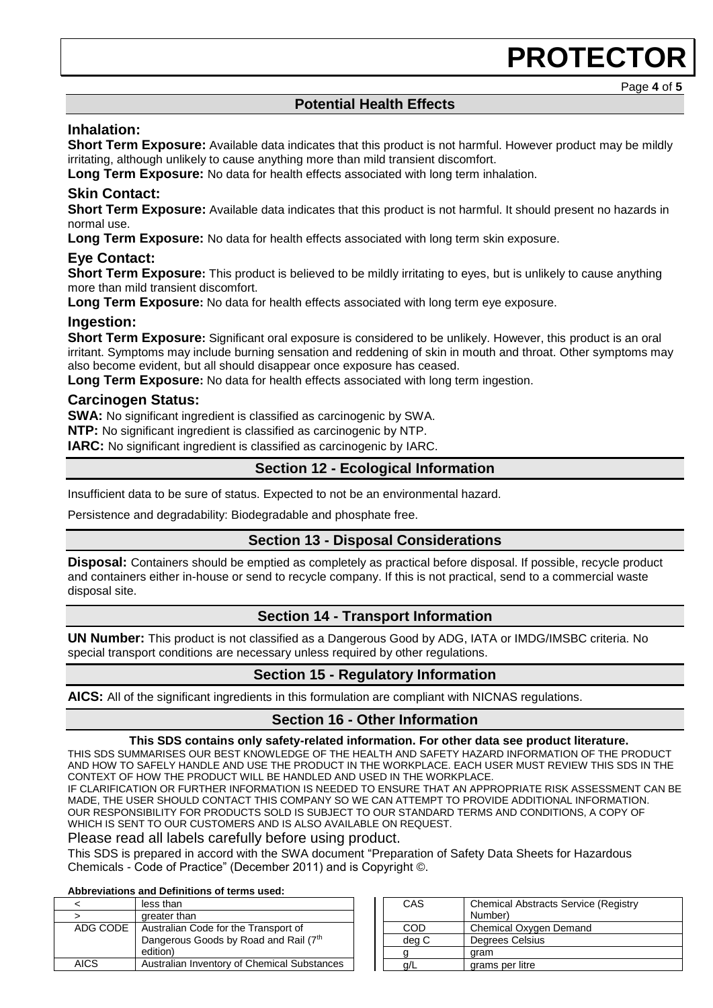Page **4** of **5**

#### **Potential Health Effects**

#### **Inhalation:**

**Short Term Exposure:** Available data indicates that this product is not harmful. However product may be mildly irritating, although unlikely to cause anything more than mild transient discomfort.

**Long Term Exposure:** No data for health effects associated with long term inhalation.

#### **Skin Contact:**

**Short Term Exposure:** Available data indicates that this product is not harmful. It should present no hazards in normal use.

**Long Term Exposure:** No data for health effects associated with long term skin exposure.

#### **Eye Contact:**

**Short Term Exposure:** This product is believed to be mildly irritating to eyes, but is unlikely to cause anything more than mild transient discomfort.

**Long Term Exposure:** No data for health effects associated with long term eye exposure.

#### **Ingestion:**

**Short Term Exposure:** Significant oral exposure is considered to be unlikely. However, this product is an oral irritant. Symptoms may include burning sensation and reddening of skin in mouth and throat. Other symptoms may also become evident, but all should disappear once exposure has ceased.

**Long Term Exposure:** No data for health effects associated with long term ingestion.

#### **Carcinogen Status:**

**SWA:** No significant ingredient is classified as carcinogenic by SWA.

**NTP:** No significant ingredient is classified as carcinogenic by NTP.

**IARC:** No significant ingredient is classified as carcinogenic by IARC.

#### **Section 12 - Ecological Information**

Insufficient data to be sure of status. Expected to not be an environmental hazard.

Persistence and degradability: Biodegradable and phosphate free.

#### **Section 13 - Disposal Considerations**

**Disposal:** Containers should be emptied as completely as practical before disposal. If possible, recycle product and containers either in-house or send to recycle company. If this is not practical, send to a commercial waste disposal site.

#### **Section 14 - Transport Information**

**UN Number:** This product is not classified as a Dangerous Good by ADG, IATA or IMDG/IMSBC criteria. No special transport conditions are necessary unless required by other regulations.

#### **Section 15 - Regulatory Information**

**AICS:** All of the significant ingredients in this formulation are compliant with NICNAS regulations.

#### **Section 16 - Other Information**

#### **This SDS contains only safety-related information. For other data see product literature.**

THIS SDS SUMMARISES OUR BEST KNOWLEDGE OF THE HEALTH AND SAFETY HAZARD INFORMATION OF THE PRODUCT AND HOW TO SAFELY HANDLE AND USE THE PRODUCT IN THE WORKPLACE. EACH USER MUST REVIEW THIS SDS IN THE CONTEXT OF HOW THE PRODUCT WILL BE HANDLED AND USED IN THE WORKPLACE.

IF CLARIFICATION OR FURTHER INFORMATION IS NEEDED TO ENSURE THAT AN APPROPRIATE RISK ASSESSMENT CAN BE MADE, THE USER SHOULD CONTACT THIS COMPANY SO WE CAN ATTEMPT TO PROVIDE ADDITIONAL INFORMATION. OUR RESPONSIBILITY FOR PRODUCTS SOLD IS SUBJECT TO OUR STANDARD TERMS AND CONDITIONS, A COPY OF WHICH IS SENT TO OUR CUSTOMERS AND IS ALSO AVAILABLE ON REQUEST.

Please read all labels carefully before using product.

This SDS is prepared in accord with the SWA document "Preparation of Safety Data Sheets for Hazardous Chemicals - Code of Practice" (December 2011) and is Copyright ©.

#### **Abbreviations and Definitions of terms used:**

|             | less than                                                                                 |
|-------------|-------------------------------------------------------------------------------------------|
|             | greater than                                                                              |
| ADG CODE    | Australian Code for the Transport of<br>Dangerous Goods by Road and Rail (7th<br>edition) |
| <b>AICS</b> | Australian Inventory of Chemical Substances                                               |

| CAS   | <b>Chemical Abstracts Service (Registry</b><br>Number) |
|-------|--------------------------------------------------------|
| COD   | Chemical Oxygen Demand                                 |
| deg C | Degrees Celsius                                        |
|       | gram                                                   |
|       | grams per litre                                        |